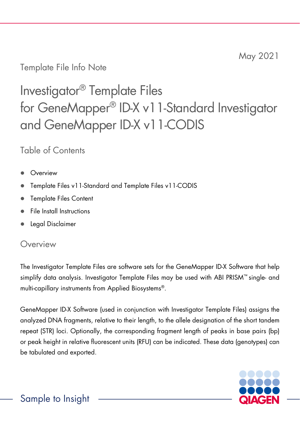Template File Info Note

# Investigator® Template Files for GeneMapper® ID-X v11-Standard Investigator and GeneMapper ID-X v11-CODIS

Table of Contents

- Overview
- Template Files v11-Standard and Template Files v11-CODIS
- Template Files Content
- File Install Instructions
- Legal Disclaimer

# **Overview**

The Investigator Template Files are software sets for the GeneMapper ID-X Software that help simplify data analysis. Investigator Template Files may be used with ABI PRISM™ single- and multi-capillary instruments from Applied Biosystems®.

GeneMapper ID-X Software (used in conjunction with Investigator Template Files) assigns the analyzed DNA fragments, relative to their length, to the allele designation of the short tandem repeat (STR) loci. Optionally, the corresponding fragment length of peaks in base pairs (bp) or peak height in relative fluorescent units (RFU) can be indicated. These data (genotypes) can be tabulated and exported.

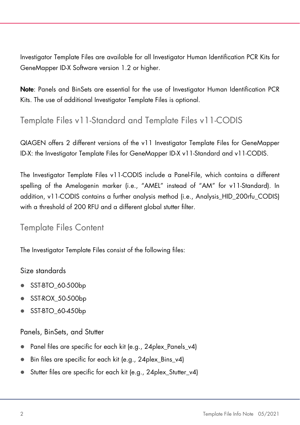Investigator Template Files are available for all Investigator Human Identification PCR Kits for GeneMapper ID-X Software version 1.2 or higher.

Note: Panels and BinSets are essential for the use of Investigator Human Identification PCR Kits. The use of additional Investigator Template Files is optional.

# Template Files v11-Standard and Template Files v11-CODIS

QIAGEN offers 2 different versions of the v11 Investigator Template Files for GeneMapper ID-X: the Investigator Template Files for GeneMapper ID-X v11-Standard and v11-CODIS.

The Investigator Template Files v11-CODIS include a Panel-File, which contains a different spelling of the Amelogenin marker (i.e., "AMEL" instead of "AM" for v11-Standard). In addition, v11-CODIS contains a further analysis method (i.e., Analysis\_HID\_200rfu\_CODIS) with a threshold of 200 RFU and a different global stutter filter.

# Template Files Content

The Investigator Template Files consist of the following files:

## Size standards

- SST-BTO\_60-500bp
- SST-ROX\_50-500bp
- SST-BTO\_60-450bp

## Panels, BinSets, and Stutter

- Panel files are specific for each kit (e.g., 24plex\_Panels\_v4)
- Bin files are specific for each kit (e.g., 24plex Bins v4)
- Stutter files are specific for each kit (e.g., 24plex\_Stutter\_v4)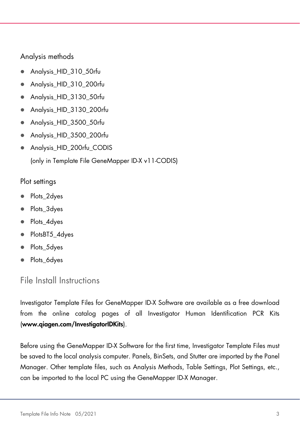#### Analysis methods

- Analysis\_HID\_310\_50rfu
- Analysis\_HID\_310\_200rfu
- Analysis\_HID\_3130\_50rfu
- Analysis\_HID\_3130\_200rfu
- Analysis HID 3500 50rfu
- Analysis HID 3500 200rfu
- Analysis\_HID\_200rfu\_CODIS (only in Template File GeneMapper ID-X v11-CODIS)

#### Plot settings

- Plots\_2dyes
- Plots 3dyes
- Plots\_4dyes
- PlotsBT5\_4dyes
- Plots\_5dyes
- Plots\_6dyes

# File Install Instructions

Investigator Template Files for GeneMapper ID-X Software are available as a free download from the online catalog pages of all Investigator Human Identification PCR Kits (www.qiagen.com/InvestigatorIDKits).

Before using the GeneMapper ID-X Software for the first time, Investigator Template Files must be saved to the local analysis computer. Panels, BinSets, and Stutter are imported by the Panel Manager. Other template files, such as Analysis Methods, Table Settings, Plot Settings, etc., can be imported to the local PC using the GeneMapper ID-X Manager.